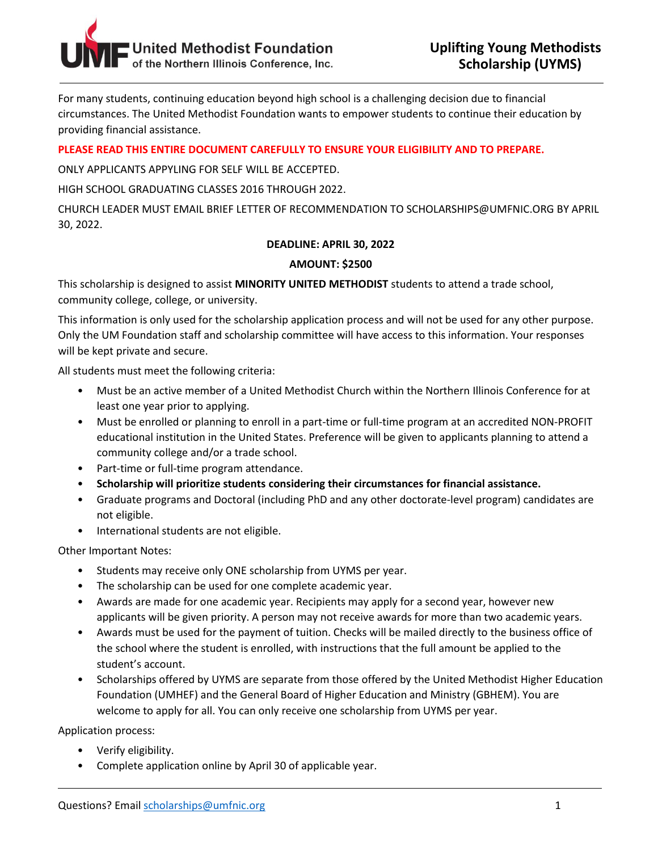

For many students, continuing education beyond high school is a challenging decision due to financial circumstances. The United Methodist Foundation wants to empower students to continue their education by providing financial assistance.

# **PLEASE READ THIS ENTIRE DOCUMENT CAREFULLY TO ENSURE YOUR ELIGIBILITY AND TO PREPARE.**

ONLY APPLICANTS APPYLING FOR SELF WILL BE ACCEPTED.

HIGH SCHOOL GRADUATING CLASSES 2016 THROUGH 2022.

CHURCH LEADER MUST EMAIL BRIEF LETTER OF RECOMMENDATION TO SCHOLARSHIPS@UMFNIC.ORG BY APRIL 30, 2022.

### **DEADLINE: APRIL 30, 2022**

### **AMOUNT: \$2500**

This scholarship is designed to assist **MINORITY UNITED METHODIST** students to attend a trade school, community college, college, or university.

This information is only used for the scholarship application process and will not be used for any other purpose. Only the UM Foundation staff and scholarship committee will have access to this information. Your responses will be kept private and secure.

All students must meet the following criteria:

- Must be an active member of a United Methodist Church within the Northern Illinois Conference for at least one year prior to applying.
- Must be enrolled or planning to enroll in a part-time or full-time program at an accredited NON-PROFIT educational institution in the United States. Preference will be given to applicants planning to attend a community college and/or a trade school.
- Part-time or full-time program attendance.
- **Scholarship will prioritize students considering their circumstances for financial assistance.**
- Graduate programs and Doctoral (including PhD and any other doctorate-level program) candidates are not eligible.
- International students are not eligible.

Other Important Notes:

- Students may receive only ONE scholarship from UYMS per year.
- The scholarship can be used for one complete academic year.
- Awards are made for one academic year. Recipients may apply for a second year, however new applicants will be given priority. A person may not receive awards for more than two academic years.
- Awards must be used for the payment of tuition. Checks will be mailed directly to the business office of the school where the student is enrolled, with instructions that the full amount be applied to the student's account.
- Scholarships offered by UYMS are separate from those offered by the United Methodist Higher Education Foundation (UMHEF) and the General Board of Higher Education and Ministry (GBHEM). You are welcome to apply for all. You can only receive one scholarship from UYMS per year.

Application process:

- Verify eligibility.
- Complete application online by April 30 of applicable year.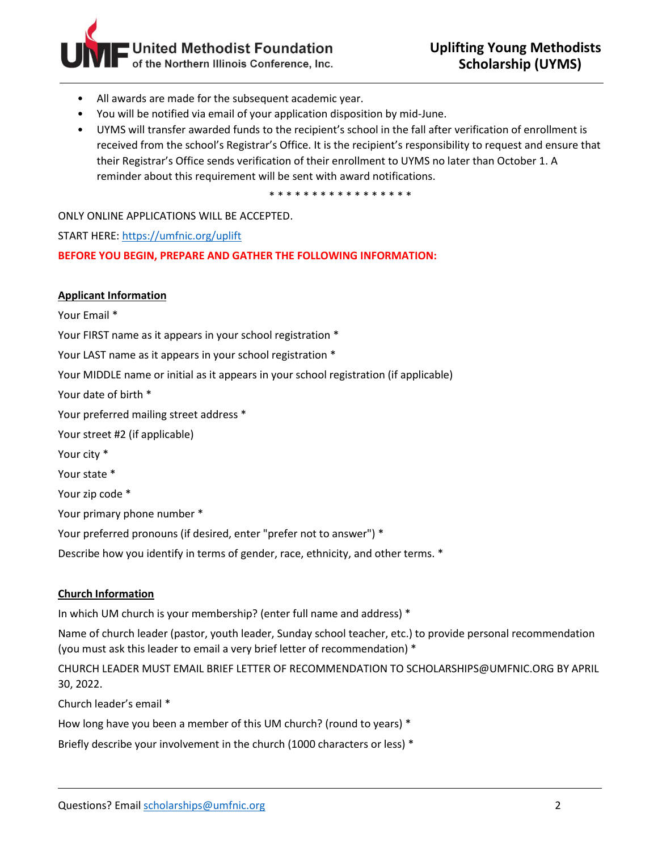

- All awards are made for the subsequent academic year.
- You will be notified via email of your application disposition by mid-June.
- UYMS will transfer awarded funds to the recipient's school in the fall after verification of enrollment is received from the school's Registrar's Office. It is the recipient's responsibility to request and ensure that their Registrar's Office sends verification of their enrollment to UYMS no later than October 1. A reminder about this requirement will be sent with award notifications.

\* \* \* \* \* \* \* \* \* \* \* \* \* \* \* \* \*

ONLY ONLINE APPLICATIONS WILL BE ACCEPTED.

START HERE[: https://umfnic.org/uplift](https://umfnic.org/uplift)

**BEFORE YOU BEGIN, PREPARE AND GATHER THE FOLLOWING INFORMATION:**

#### **Applicant Information**

Your Email \* Your FIRST name as it appears in your school registration \* Your LAST name as it appears in your school registration \* Your MIDDLE name or initial as it appears in your school registration (if applicable) Your date of birth \* Your preferred mailing street address \* Your street #2 (if applicable) Your city \* Your state \* Your zip code \* Your primary phone number \* Your preferred pronouns (if desired, enter "prefer not to answer") \* Describe how you identify in terms of gender, race, ethnicity, and other terms. \*

## **Church Information**

In which UM church is your membership? (enter full name and address) \*

Name of church leader (pastor, youth leader, Sunday school teacher, etc.) to provide personal recommendation (you must ask this leader to email a very brief letter of recommendation) \*

CHURCH LEADER MUST EMAIL BRIEF LETTER OF RECOMMENDATION TO SCHOLARSHIPS@UMFNIC.ORG BY APRIL 30, 2022.

Church leader's email \*

How long have you been a member of this UM church? (round to years) \*

Briefly describe your involvement in the church (1000 characters or less) \*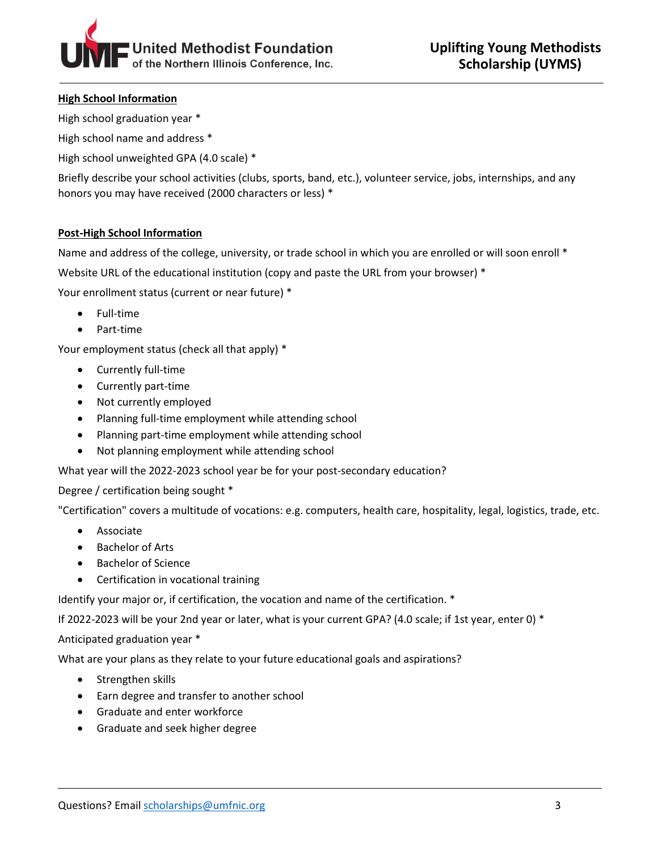

## **High School Information**

High school graduation year \*

High school name and address \*

High school unweighted GPA (4.0 scale) \*

Briefly describe your school activities (clubs, sports, band, etc.), volunteer service, jobs, internships, and any honors you may have received (2000 characters or less) \*

# **Post-High School Information**

Name and address of the college, university, or trade school in which you are enrolled or will soon enroll \* Website URL of the educational institution (copy and paste the URL from your browser) \* Your enrollment status (current or near future) \*

- Full-time
- Part-time

Your employment status (check all that apply) \*

- Currently full-time
- Currently part-time
- Not currently employed
- Planning full-time employment while attending school
- Planning part-time employment while attending school
- Not planning employment while attending school

What year will the 2022-2023 school year be for your post-secondary education?

Degree / certification being sought \*

"Certification" covers a multitude of vocations: e.g. computers, health care, hospitality, legal, logistics, trade, etc.

- Associate
- Bachelor of Arts
- Bachelor of Science
- Certification in vocational training

Identify your major or, if certification, the vocation and name of the certification. \*

If 2022-2023 will be your 2nd year or later, what is your current GPA? (4.0 scale; if 1st year, enter 0) \*

Anticipated graduation year \*

What are your plans as they relate to your future educational goals and aspirations?

- Strengthen skills
- Earn degree and transfer to another school
- Graduate and enter workforce
- Graduate and seek higher degree